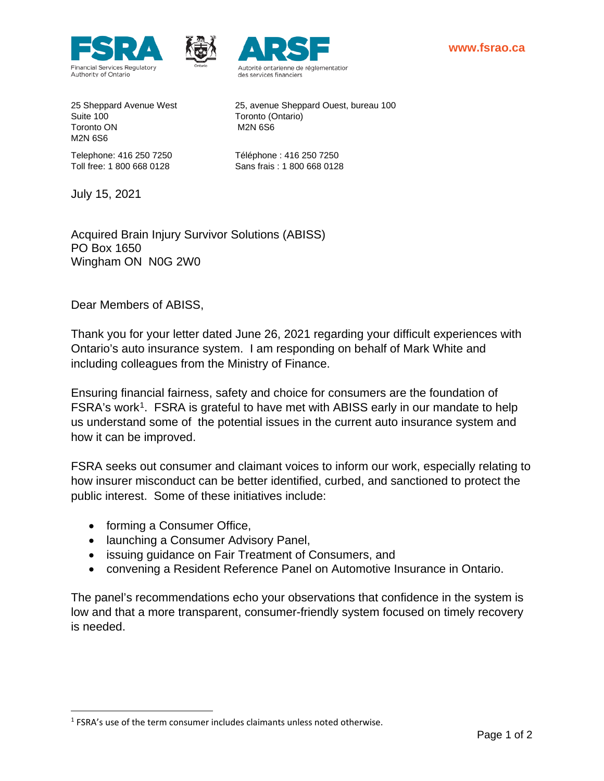





Suite 100 Toronto (Ontario) Toronto ON M2N 6S6 M2N 6S6

25 Sheppard Avenue West 25, avenue Sheppard Ouest, bureau 100

Telephone: 416 250 7250 Téléphone : 416 250 7250 Toll free: 1 800 668 0128 Sans frais : 1 800 668 0128

July 15, 2021

Acquired Brain Injury Survivor Solutions (ABISS) PO Box 1650 Wingham ON N0G 2W0

Dear Members of ABISS,

Thank you for your letter dated June 26, 2021 regarding your difficult experiences with Ontario's auto insurance system. I am responding on behalf of Mark White and including colleagues from the Ministry of Finance.

Ensuring financial fairness, safety and choice for consumers are the foundation of FSRA's work<sup>[1](#page-0-0)</sup>. FSRA is grateful to have met with ABISS early in our mandate to help us understand some of the potential issues in the current auto insurance system and how it can be improved.

FSRA seeks out consumer and claimant voices to inform our work, especially relating to how insurer misconduct can be better identified, curbed, and sanctioned to protect the public interest. Some of these initiatives include:

- forming a Consumer Office,
- launching a Consumer Advisory Panel,
- issuing guidance on Fair Treatment of Consumers, and
- convening a Resident Reference Panel on Automotive Insurance in Ontario.

The panel's recommendations echo your observations that confidence in the system is low and that a more transparent, consumer-friendly system focused on timely recovery is needed.

<span id="page-0-0"></span><sup>&</sup>lt;sup>1</sup> FSRA's use of the term consumer includes claimants unless noted otherwise.